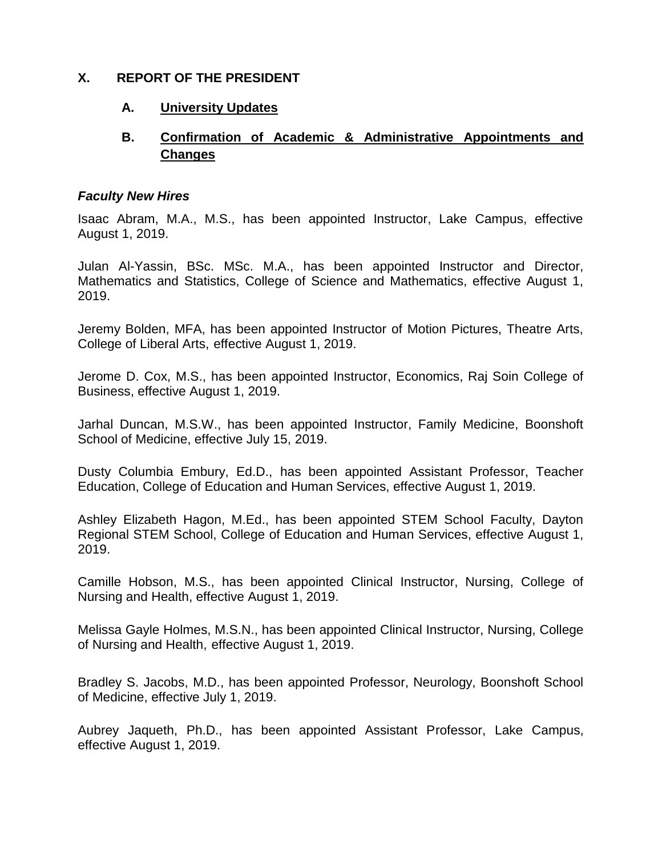## **X. REPORT OF THE PRESIDENT**

## **A. University Updates**

# **B. Confirmation of Academic & Administrative Appointments and Changes**

### *Faculty New Hires*

Isaac Abram, M.A., M.S., has been appointed Instructor, Lake Campus, effective August 1, 2019.

Julan Al-Yassin, BSc. MSc. M.A., has been appointed Instructor and Director, Mathematics and Statistics, College of Science and Mathematics, effective August 1, 2019.

Jeremy Bolden, MFA, has been appointed Instructor of Motion Pictures, Theatre Arts, College of Liberal Arts, effective August 1, 2019.

Jerome D. Cox, M.S., has been appointed Instructor, Economics, Raj Soin College of Business, effective August 1, 2019.

Jarhal Duncan, M.S.W., has been appointed Instructor, Family Medicine, Boonshoft School of Medicine, effective July 15, 2019.

Dusty Columbia Embury, Ed.D., has been appointed Assistant Professor, Teacher Education, College of Education and Human Services, effective August 1, 2019.

Ashley Elizabeth Hagon, M.Ed., has been appointed STEM School Faculty, Dayton Regional STEM School, College of Education and Human Services, effective August 1, 2019.

Camille Hobson, M.S., has been appointed Clinical Instructor, Nursing, College of Nursing and Health, effective August 1, 2019.

Melissa Gayle Holmes, M.S.N., has been appointed Clinical Instructor, Nursing, College of Nursing and Health, effective August 1, 2019.

Bradley S. Jacobs, M.D., has been appointed Professor, Neurology, Boonshoft School of Medicine, effective July 1, 2019.

Aubrey Jaqueth, Ph.D., has been appointed Assistant Professor, Lake Campus, effective August 1, 2019.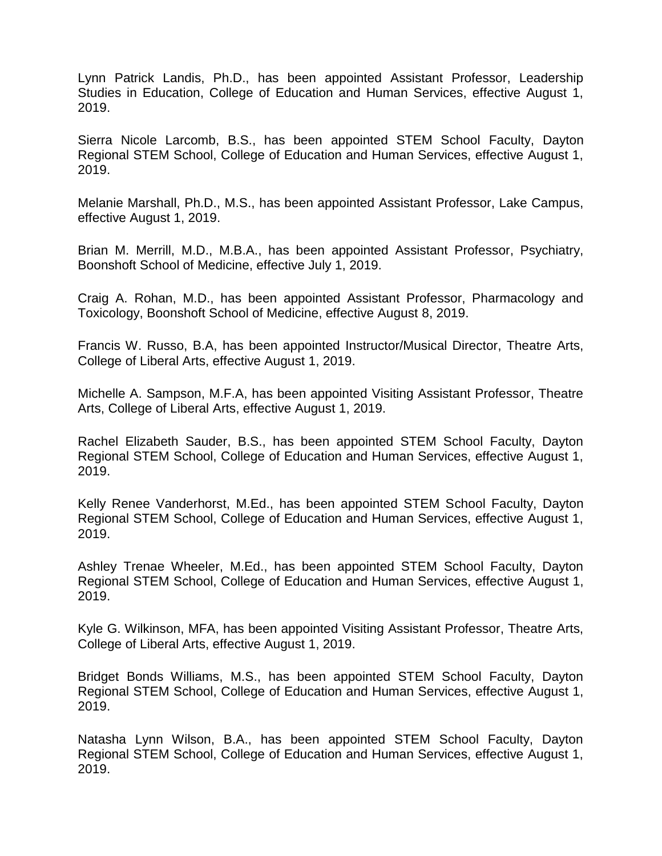Lynn Patrick Landis, Ph.D., has been appointed Assistant Professor, Leadership Studies in Education, College of Education and Human Services, effective August 1, 2019.

Sierra Nicole Larcomb, B.S., has been appointed STEM School Faculty, Dayton Regional STEM School, College of Education and Human Services, effective August 1, 2019.

Melanie Marshall, Ph.D., M.S., has been appointed Assistant Professor, Lake Campus, effective August 1, 2019.

Brian M. Merrill, M.D., M.B.A., has been appointed Assistant Professor, Psychiatry, Boonshoft School of Medicine, effective July 1, 2019.

Craig A. Rohan, M.D., has been appointed Assistant Professor, Pharmacology and Toxicology, Boonshoft School of Medicine, effective August 8, 2019.

Francis W. Russo, B.A, has been appointed Instructor/Musical Director, Theatre Arts, College of Liberal Arts, effective August 1, 2019.

Michelle A. Sampson, M.F.A, has been appointed Visiting Assistant Professor, Theatre Arts, College of Liberal Arts, effective August 1, 2019.

Rachel Elizabeth Sauder, B.S., has been appointed STEM School Faculty, Dayton Regional STEM School, College of Education and Human Services, effective August 1, 2019.

Kelly Renee Vanderhorst, M.Ed., has been appointed STEM School Faculty, Dayton Regional STEM School, College of Education and Human Services, effective August 1, 2019.

Ashley Trenae Wheeler, M.Ed., has been appointed STEM School Faculty, Dayton Regional STEM School, College of Education and Human Services, effective August 1, 2019.

Kyle G. Wilkinson, MFA, has been appointed Visiting Assistant Professor, Theatre Arts, College of Liberal Arts, effective August 1, 2019.

Bridget Bonds Williams, M.S., has been appointed STEM School Faculty, Dayton Regional STEM School, College of Education and Human Services, effective August 1, 2019.

Natasha Lynn Wilson, B.A., has been appointed STEM School Faculty, Dayton Regional STEM School, College of Education and Human Services, effective August 1, 2019.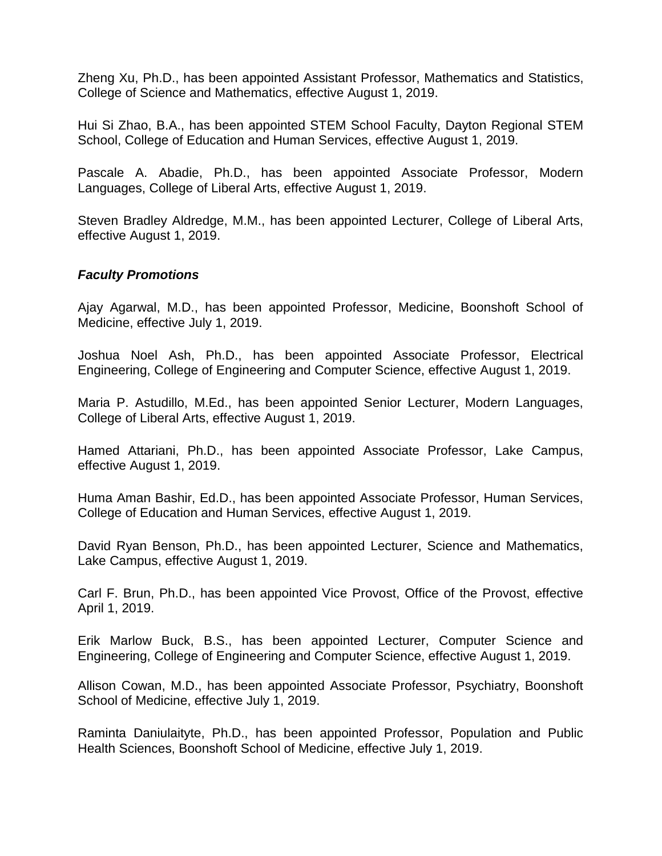Zheng Xu, Ph.D., has been appointed Assistant Professor, Mathematics and Statistics, College of Science and Mathematics, effective August 1, 2019.

Hui Si Zhao, B.A., has been appointed STEM School Faculty, Dayton Regional STEM School, College of Education and Human Services, effective August 1, 2019.

Pascale A. Abadie, Ph.D., has been appointed Associate Professor, Modern Languages, College of Liberal Arts, effective August 1, 2019.

Steven Bradley Aldredge, M.M., has been appointed Lecturer, College of Liberal Arts, effective August 1, 2019.

#### *Faculty Promotions*

Ajay Agarwal, M.D., has been appointed Professor, Medicine, Boonshoft School of Medicine, effective July 1, 2019.

Joshua Noel Ash, Ph.D., has been appointed Associate Professor, Electrical Engineering, College of Engineering and Computer Science, effective August 1, 2019.

Maria P. Astudillo, M.Ed., has been appointed Senior Lecturer, Modern Languages, College of Liberal Arts, effective August 1, 2019.

Hamed Attariani, Ph.D., has been appointed Associate Professor, Lake Campus, effective August 1, 2019.

Huma Aman Bashir, Ed.D., has been appointed Associate Professor, Human Services, College of Education and Human Services, effective August 1, 2019.

David Ryan Benson, Ph.D., has been appointed Lecturer, Science and Mathematics, Lake Campus, effective August 1, 2019.

Carl F. Brun, Ph.D., has been appointed Vice Provost, Office of the Provost, effective April 1, 2019.

Erik Marlow Buck, B.S., has been appointed Lecturer, Computer Science and Engineering, College of Engineering and Computer Science, effective August 1, 2019.

Allison Cowan, M.D., has been appointed Associate Professor, Psychiatry, Boonshoft School of Medicine, effective July 1, 2019.

Raminta Daniulaityte, Ph.D., has been appointed Professor, Population and Public Health Sciences, Boonshoft School of Medicine, effective July 1, 2019.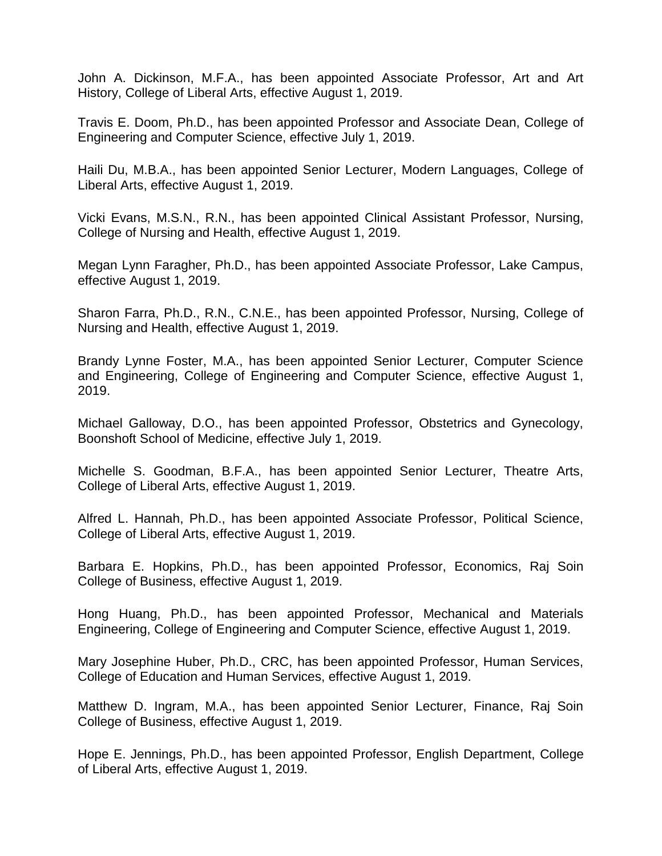John A. Dickinson, M.F.A., has been appointed Associate Professor, Art and Art History, College of Liberal Arts, effective August 1, 2019.

Travis E. Doom, Ph.D., has been appointed Professor and Associate Dean, College of Engineering and Computer Science, effective July 1, 2019.

Haili Du, M.B.A., has been appointed Senior Lecturer, Modern Languages, College of Liberal Arts, effective August 1, 2019.

Vicki Evans, M.S.N., R.N., has been appointed Clinical Assistant Professor, Nursing, College of Nursing and Health, effective August 1, 2019.

Megan Lynn Faragher, Ph.D., has been appointed Associate Professor, Lake Campus, effective August 1, 2019.

Sharon Farra, Ph.D., R.N., C.N.E., has been appointed Professor, Nursing, College of Nursing and Health, effective August 1, 2019.

Brandy Lynne Foster, M.A., has been appointed Senior Lecturer, Computer Science and Engineering, College of Engineering and Computer Science, effective August 1, 2019.

Michael Galloway, D.O., has been appointed Professor, Obstetrics and Gynecology, Boonshoft School of Medicine, effective July 1, 2019.

Michelle S. Goodman, B.F.A., has been appointed Senior Lecturer, Theatre Arts, College of Liberal Arts, effective August 1, 2019.

Alfred L. Hannah, Ph.D., has been appointed Associate Professor, Political Science, College of Liberal Arts, effective August 1, 2019.

Barbara E. Hopkins, Ph.D., has been appointed Professor, Economics, Raj Soin College of Business, effective August 1, 2019.

Hong Huang, Ph.D., has been appointed Professor, Mechanical and Materials Engineering, College of Engineering and Computer Science, effective August 1, 2019.

Mary Josephine Huber, Ph.D., CRC, has been appointed Professor, Human Services, College of Education and Human Services, effective August 1, 2019.

Matthew D. Ingram, M.A., has been appointed Senior Lecturer, Finance, Raj Soin College of Business, effective August 1, 2019.

Hope E. Jennings, Ph.D., has been appointed Professor, English Department, College of Liberal Arts, effective August 1, 2019.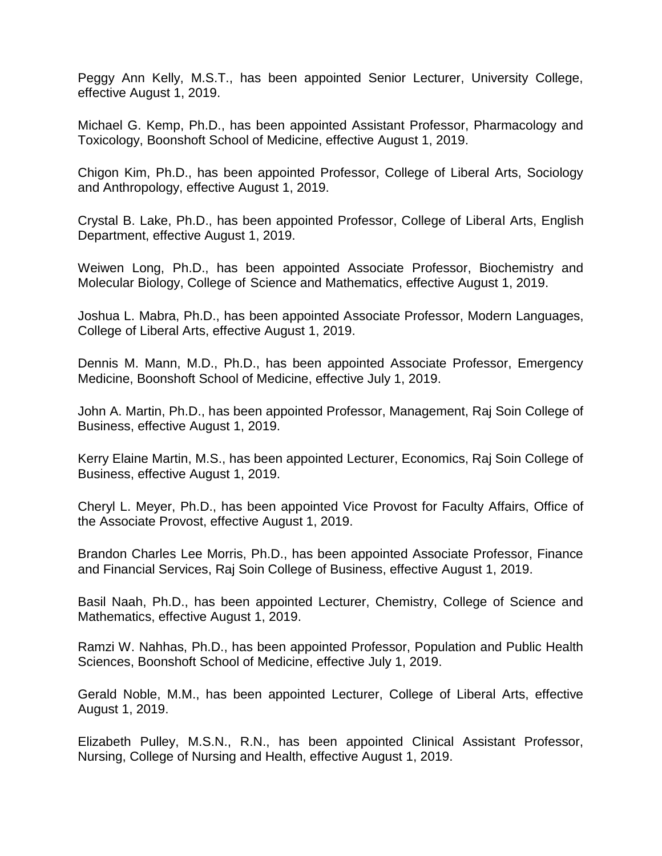Peggy Ann Kelly, M.S.T., has been appointed Senior Lecturer, University College, effective August 1, 2019.

Michael G. Kemp, Ph.D., has been appointed Assistant Professor, Pharmacology and Toxicology, Boonshoft School of Medicine, effective August 1, 2019.

Chigon Kim, Ph.D., has been appointed Professor, College of Liberal Arts, Sociology and Anthropology, effective August 1, 2019.

Crystal B. Lake, Ph.D., has been appointed Professor, College of Liberal Arts, English Department, effective August 1, 2019.

Weiwen Long, Ph.D., has been appointed Associate Professor, Biochemistry and Molecular Biology, College of Science and Mathematics, effective August 1, 2019.

Joshua L. Mabra, Ph.D., has been appointed Associate Professor, Modern Languages, College of Liberal Arts, effective August 1, 2019.

Dennis M. Mann, M.D., Ph.D., has been appointed Associate Professor, Emergency Medicine, Boonshoft School of Medicine, effective July 1, 2019.

John A. Martin, Ph.D., has been appointed Professor, Management, Raj Soin College of Business, effective August 1, 2019.

Kerry Elaine Martin, M.S., has been appointed Lecturer, Economics, Raj Soin College of Business, effective August 1, 2019.

Cheryl L. Meyer, Ph.D., has been appointed Vice Provost for Faculty Affairs, Office of the Associate Provost, effective August 1, 2019.

Brandon Charles Lee Morris, Ph.D., has been appointed Associate Professor, Finance and Financial Services, Raj Soin College of Business, effective August 1, 2019.

Basil Naah, Ph.D., has been appointed Lecturer, Chemistry, College of Science and Mathematics, effective August 1, 2019.

Ramzi W. Nahhas, Ph.D., has been appointed Professor, Population and Public Health Sciences, Boonshoft School of Medicine, effective July 1, 2019.

Gerald Noble, M.M., has been appointed Lecturer, College of Liberal Arts, effective August 1, 2019.

Elizabeth Pulley, M.S.N., R.N., has been appointed Clinical Assistant Professor, Nursing, College of Nursing and Health, effective August 1, 2019.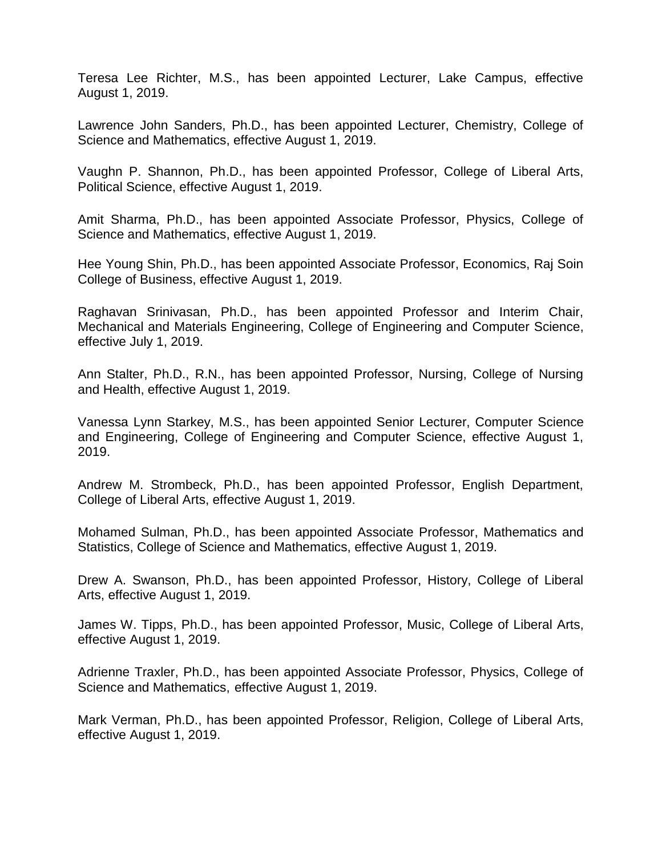Teresa Lee Richter, M.S., has been appointed Lecturer, Lake Campus, effective August 1, 2019.

Lawrence John Sanders, Ph.D., has been appointed Lecturer, Chemistry, College of Science and Mathematics, effective August 1, 2019.

Vaughn P. Shannon, Ph.D., has been appointed Professor, College of Liberal Arts, Political Science, effective August 1, 2019.

Amit Sharma, Ph.D., has been appointed Associate Professor, Physics, College of Science and Mathematics, effective August 1, 2019.

Hee Young Shin, Ph.D., has been appointed Associate Professor, Economics, Raj Soin College of Business, effective August 1, 2019.

Raghavan Srinivasan, Ph.D., has been appointed Professor and Interim Chair, Mechanical and Materials Engineering, College of Engineering and Computer Science, effective July 1, 2019.

Ann Stalter, Ph.D., R.N., has been appointed Professor, Nursing, College of Nursing and Health, effective August 1, 2019.

Vanessa Lynn Starkey, M.S., has been appointed Senior Lecturer, Computer Science and Engineering, College of Engineering and Computer Science, effective August 1, 2019.

Andrew M. Strombeck, Ph.D., has been appointed Professor, English Department, College of Liberal Arts, effective August 1, 2019.

Mohamed Sulman, Ph.D., has been appointed Associate Professor, Mathematics and Statistics, College of Science and Mathematics, effective August 1, 2019.

Drew A. Swanson, Ph.D., has been appointed Professor, History, College of Liberal Arts, effective August 1, 2019.

James W. Tipps, Ph.D., has been appointed Professor, Music, College of Liberal Arts, effective August 1, 2019.

Adrienne Traxler, Ph.D., has been appointed Associate Professor, Physics, College of Science and Mathematics, effective August 1, 2019.

Mark Verman, Ph.D., has been appointed Professor, Religion, College of Liberal Arts, effective August 1, 2019.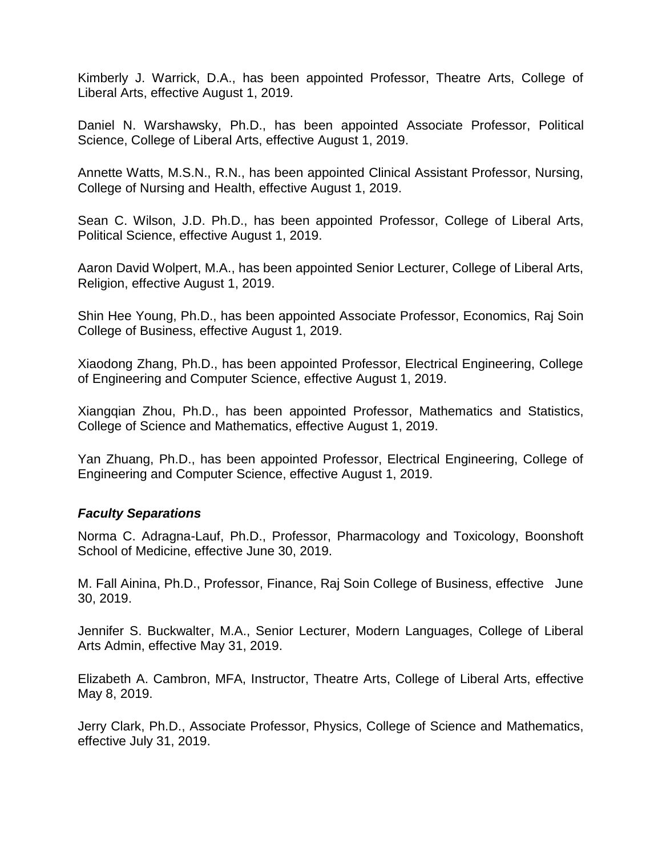Kimberly J. Warrick, D.A., has been appointed Professor, Theatre Arts, College of Liberal Arts, effective August 1, 2019.

Daniel N. Warshawsky, Ph.D., has been appointed Associate Professor, Political Science, College of Liberal Arts, effective August 1, 2019.

Annette Watts, M.S.N., R.N., has been appointed Clinical Assistant Professor, Nursing, College of Nursing and Health, effective August 1, 2019.

Sean C. Wilson, J.D. Ph.D., has been appointed Professor, College of Liberal Arts, Political Science, effective August 1, 2019.

Aaron David Wolpert, M.A., has been appointed Senior Lecturer, College of Liberal Arts, Religion, effective August 1, 2019.

Shin Hee Young, Ph.D., has been appointed Associate Professor, Economics, Raj Soin College of Business, effective August 1, 2019.

Xiaodong Zhang, Ph.D., has been appointed Professor, Electrical Engineering, College of Engineering and Computer Science, effective August 1, 2019.

Xiangqian Zhou, Ph.D., has been appointed Professor, Mathematics and Statistics, College of Science and Mathematics, effective August 1, 2019.

Yan Zhuang, Ph.D., has been appointed Professor, Electrical Engineering, College of Engineering and Computer Science, effective August 1, 2019.

### *Faculty Separations*

Norma C. Adragna-Lauf, Ph.D., Professor, Pharmacology and Toxicology, Boonshoft School of Medicine, effective June 30, 2019.

M. Fall Ainina, Ph.D., Professor, Finance, Raj Soin College of Business, effective June 30, 2019.

Jennifer S. Buckwalter, M.A., Senior Lecturer, Modern Languages, College of Liberal Arts Admin, effective May 31, 2019.

Elizabeth A. Cambron, MFA, Instructor, Theatre Arts, College of Liberal Arts, effective May 8, 2019.

Jerry Clark, Ph.D., Associate Professor, Physics, College of Science and Mathematics, effective July 31, 2019.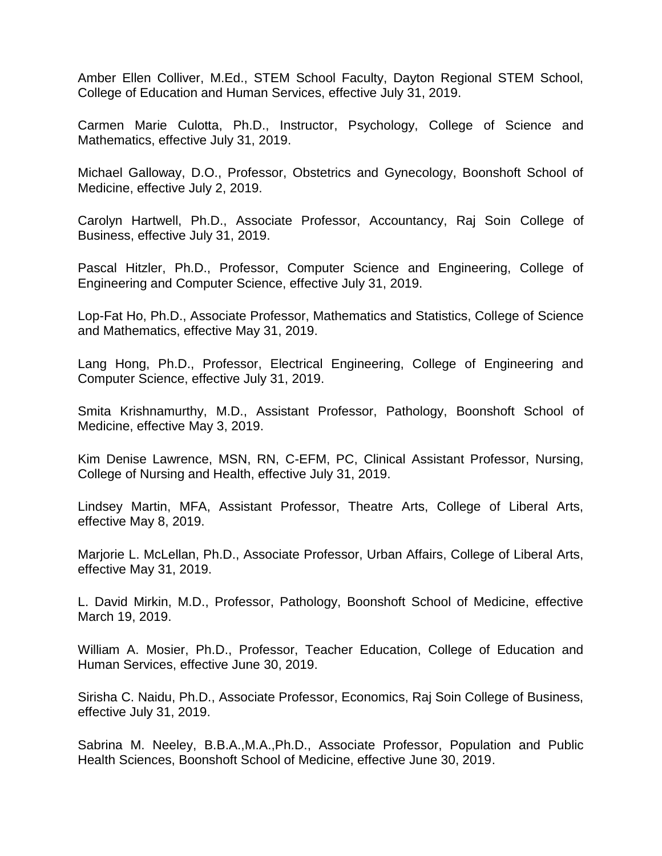Amber Ellen Colliver, M.Ed., STEM School Faculty, Dayton Regional STEM School, College of Education and Human Services, effective July 31, 2019.

Carmen Marie Culotta, Ph.D., Instructor, Psychology, College of Science and Mathematics, effective July 31, 2019.

Michael Galloway, D.O., Professor, Obstetrics and Gynecology, Boonshoft School of Medicine, effective July 2, 2019.

Carolyn Hartwell, Ph.D., Associate Professor, Accountancy, Raj Soin College of Business, effective July 31, 2019.

Pascal Hitzler, Ph.D., Professor, Computer Science and Engineering, College of Engineering and Computer Science, effective July 31, 2019.

Lop-Fat Ho, Ph.D., Associate Professor, Mathematics and Statistics, College of Science and Mathematics, effective May 31, 2019.

Lang Hong, Ph.D., Professor, Electrical Engineering, College of Engineering and Computer Science, effective July 31, 2019.

Smita Krishnamurthy, M.D., Assistant Professor, Pathology, Boonshoft School of Medicine, effective May 3, 2019.

Kim Denise Lawrence, MSN, RN, C-EFM, PC, Clinical Assistant Professor, Nursing, College of Nursing and Health, effective July 31, 2019.

Lindsey Martin, MFA, Assistant Professor, Theatre Arts, College of Liberal Arts, effective May 8, 2019.

Marjorie L. McLellan, Ph.D., Associate Professor, Urban Affairs, College of Liberal Arts, effective May 31, 2019.

L. David Mirkin, M.D., Professor, Pathology, Boonshoft School of Medicine, effective March 19, 2019.

William A. Mosier, Ph.D., Professor, Teacher Education, College of Education and Human Services, effective June 30, 2019.

Sirisha C. Naidu, Ph.D., Associate Professor, Economics, Raj Soin College of Business, effective July 31, 2019.

Sabrina M. Neeley, B.B.A.,M.A.,Ph.D., Associate Professor, Population and Public Health Sciences, Boonshoft School of Medicine, effective June 30, 2019.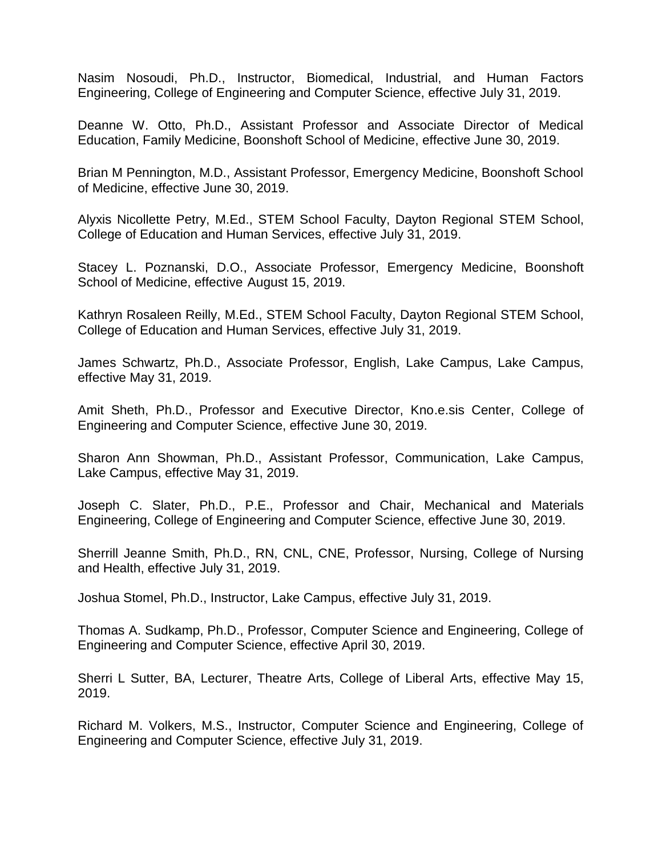Nasim Nosoudi, Ph.D., Instructor, Biomedical, Industrial, and Human Factors Engineering, College of Engineering and Computer Science, effective July 31, 2019.

Deanne W. Otto, Ph.D., Assistant Professor and Associate Director of Medical Education, Family Medicine, Boonshoft School of Medicine, effective June 30, 2019.

Brian M Pennington, M.D., Assistant Professor, Emergency Medicine, Boonshoft School of Medicine, effective June 30, 2019.

Alyxis Nicollette Petry, M.Ed., STEM School Faculty, Dayton Regional STEM School, College of Education and Human Services, effective July 31, 2019.

Stacey L. Poznanski, D.O., Associate Professor, Emergency Medicine, Boonshoft School of Medicine, effective August 15, 2019.

Kathryn Rosaleen Reilly, M.Ed., STEM School Faculty, Dayton Regional STEM School, College of Education and Human Services, effective July 31, 2019.

James Schwartz, Ph.D., Associate Professor, English, Lake Campus, Lake Campus, effective May 31, 2019.

Amit Sheth, Ph.D., Professor and Executive Director, Kno.e.sis Center, College of Engineering and Computer Science, effective June 30, 2019.

Sharon Ann Showman, Ph.D., Assistant Professor, Communication, Lake Campus, Lake Campus, effective May 31, 2019.

Joseph C. Slater, Ph.D., P.E., Professor and Chair, Mechanical and Materials Engineering, College of Engineering and Computer Science, effective June 30, 2019.

Sherrill Jeanne Smith, Ph.D., RN, CNL, CNE, Professor, Nursing, College of Nursing and Health, effective July 31, 2019.

Joshua Stomel, Ph.D., Instructor, Lake Campus, effective July 31, 2019.

Thomas A. Sudkamp, Ph.D., Professor, Computer Science and Engineering, College of Engineering and Computer Science, effective April 30, 2019.

Sherri L Sutter, BA, Lecturer, Theatre Arts, College of Liberal Arts, effective May 15, 2019.

Richard M. Volkers, M.S., Instructor, Computer Science and Engineering, College of Engineering and Computer Science, effective July 31, 2019.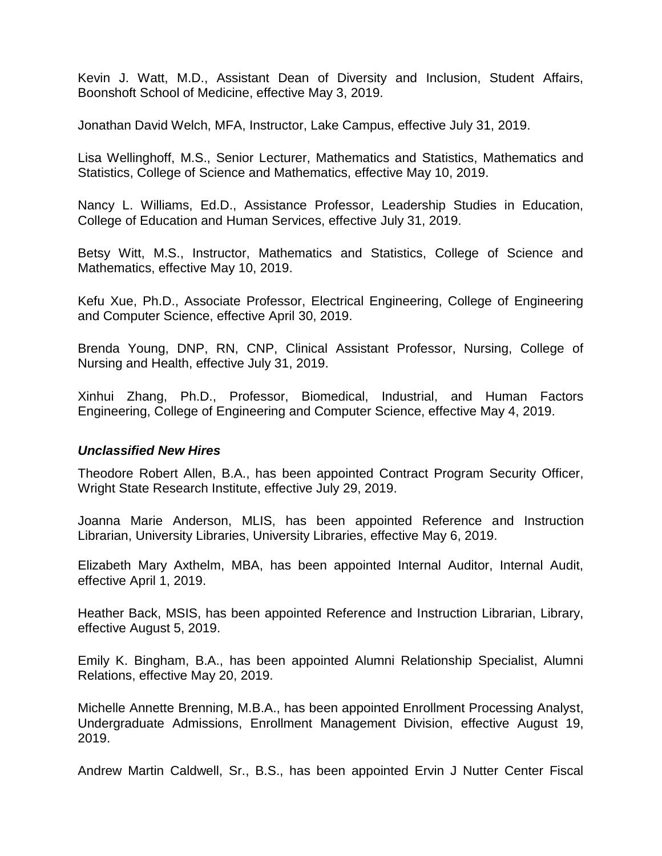Kevin J. Watt, M.D., Assistant Dean of Diversity and Inclusion, Student Affairs, Boonshoft School of Medicine, effective May 3, 2019.

Jonathan David Welch, MFA, Instructor, Lake Campus, effective July 31, 2019.

Lisa Wellinghoff, M.S., Senior Lecturer, Mathematics and Statistics, Mathematics and Statistics, College of Science and Mathematics, effective May 10, 2019.

Nancy L. Williams, Ed.D., Assistance Professor, Leadership Studies in Education, College of Education and Human Services, effective July 31, 2019.

Betsy Witt, M.S., Instructor, Mathematics and Statistics, College of Science and Mathematics, effective May 10, 2019.

Kefu Xue, Ph.D., Associate Professor, Electrical Engineering, College of Engineering and Computer Science, effective April 30, 2019.

Brenda Young, DNP, RN, CNP, Clinical Assistant Professor, Nursing, College of Nursing and Health, effective July 31, 2019.

Xinhui Zhang, Ph.D., Professor, Biomedical, Industrial, and Human Factors Engineering, College of Engineering and Computer Science, effective May 4, 2019.

### *Unclassified New Hires*

Theodore Robert Allen, B.A., has been appointed Contract Program Security Officer, Wright State Research Institute, effective July 29, 2019.

Joanna Marie Anderson, MLIS, has been appointed Reference and Instruction Librarian, University Libraries, University Libraries, effective May 6, 2019.

Elizabeth Mary Axthelm, MBA, has been appointed Internal Auditor, Internal Audit, effective April 1, 2019.

Heather Back, MSIS, has been appointed Reference and Instruction Librarian, Library, effective August 5, 2019.

Emily K. Bingham, B.A., has been appointed Alumni Relationship Specialist, Alumni Relations, effective May 20, 2019.

Michelle Annette Brenning, M.B.A., has been appointed Enrollment Processing Analyst, Undergraduate Admissions, Enrollment Management Division, effective August 19, 2019.

Andrew Martin Caldwell, Sr., B.S., has been appointed Ervin J Nutter Center Fiscal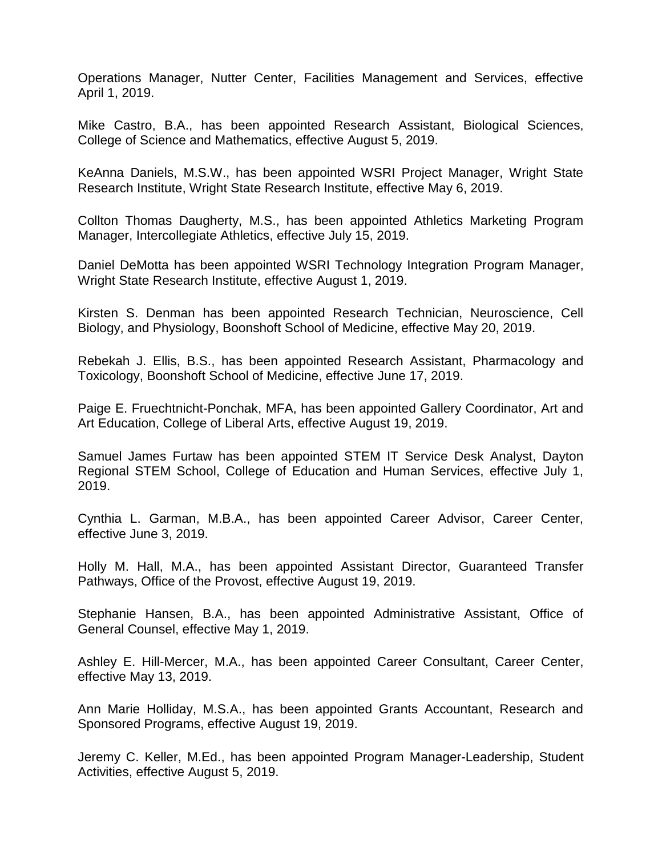Operations Manager, Nutter Center, Facilities Management and Services, effective April 1, 2019.

Mike Castro, B.A., has been appointed Research Assistant, Biological Sciences, College of Science and Mathematics, effective August 5, 2019.

KeAnna Daniels, M.S.W., has been appointed WSRI Project Manager, Wright State Research Institute, Wright State Research Institute, effective May 6, 2019.

Collton Thomas Daugherty, M.S., has been appointed Athletics Marketing Program Manager, Intercollegiate Athletics, effective July 15, 2019.

Daniel DeMotta has been appointed WSRI Technology Integration Program Manager, Wright State Research Institute, effective August 1, 2019.

Kirsten S. Denman has been appointed Research Technician, Neuroscience, Cell Biology, and Physiology, Boonshoft School of Medicine, effective May 20, 2019.

Rebekah J. Ellis, B.S., has been appointed Research Assistant, Pharmacology and Toxicology, Boonshoft School of Medicine, effective June 17, 2019.

Paige E. Fruechtnicht-Ponchak, MFA, has been appointed Gallery Coordinator, Art and Art Education, College of Liberal Arts, effective August 19, 2019.

Samuel James Furtaw has been appointed STEM IT Service Desk Analyst, Dayton Regional STEM School, College of Education and Human Services, effective July 1, 2019.

Cynthia L. Garman, M.B.A., has been appointed Career Advisor, Career Center, effective June 3, 2019.

Holly M. Hall, M.A., has been appointed Assistant Director, Guaranteed Transfer Pathways, Office of the Provost, effective August 19, 2019.

Stephanie Hansen, B.A., has been appointed Administrative Assistant, Office of General Counsel, effective May 1, 2019.

Ashley E. Hill-Mercer, M.A., has been appointed Career Consultant, Career Center, effective May 13, 2019.

Ann Marie Holliday, M.S.A., has been appointed Grants Accountant, Research and Sponsored Programs, effective August 19, 2019.

Jeremy C. Keller, M.Ed., has been appointed Program Manager-Leadership, Student Activities, effective August 5, 2019.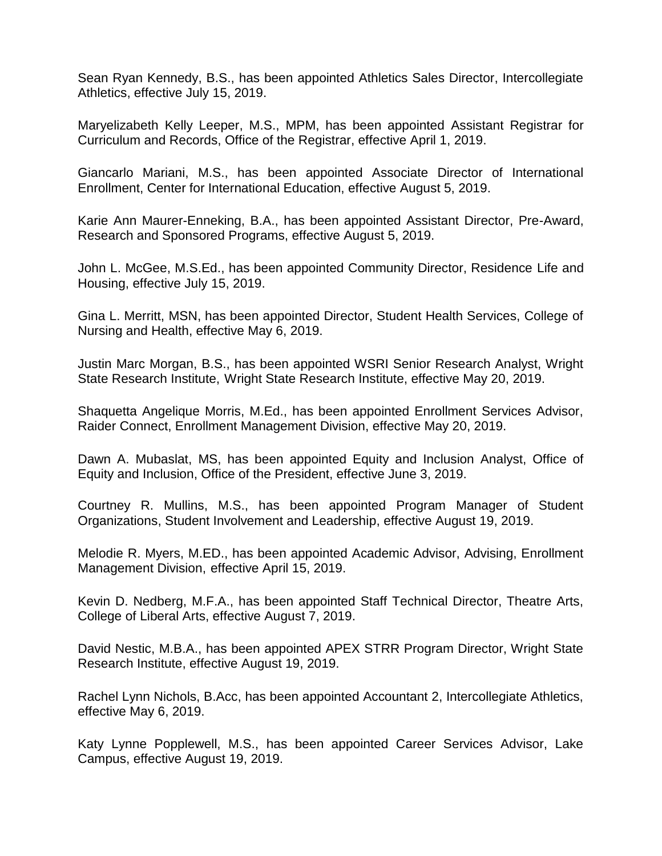Sean Ryan Kennedy, B.S., has been appointed Athletics Sales Director, Intercollegiate Athletics, effective July 15, 2019.

Maryelizabeth Kelly Leeper, M.S., MPM, has been appointed Assistant Registrar for Curriculum and Records, Office of the Registrar, effective April 1, 2019.

Giancarlo Mariani, M.S., has been appointed Associate Director of International Enrollment, Center for International Education, effective August 5, 2019.

Karie Ann Maurer-Enneking, B.A., has been appointed Assistant Director, Pre-Award, Research and Sponsored Programs, effective August 5, 2019.

John L. McGee, M.S.Ed., has been appointed Community Director, Residence Life and Housing, effective July 15, 2019.

Gina L. Merritt, MSN, has been appointed Director, Student Health Services, College of Nursing and Health, effective May 6, 2019.

Justin Marc Morgan, B.S., has been appointed WSRI Senior Research Analyst, Wright State Research Institute, Wright State Research Institute, effective May 20, 2019.

Shaquetta Angelique Morris, M.Ed., has been appointed Enrollment Services Advisor, Raider Connect, Enrollment Management Division, effective May 20, 2019.

Dawn A. Mubaslat, MS, has been appointed Equity and Inclusion Analyst, Office of Equity and Inclusion, Office of the President, effective June 3, 2019.

Courtney R. Mullins, M.S., has been appointed Program Manager of Student Organizations, Student Involvement and Leadership, effective August 19, 2019.

Melodie R. Myers, M.ED., has been appointed Academic Advisor, Advising, Enrollment Management Division, effective April 15, 2019.

Kevin D. Nedberg, M.F.A., has been appointed Staff Technical Director, Theatre Arts, College of Liberal Arts, effective August 7, 2019.

David Nestic, M.B.A., has been appointed APEX STRR Program Director, Wright State Research Institute, effective August 19, 2019.

Rachel Lynn Nichols, B.Acc, has been appointed Accountant 2, Intercollegiate Athletics, effective May 6, 2019.

Katy Lynne Popplewell, M.S., has been appointed Career Services Advisor, Lake Campus, effective August 19, 2019.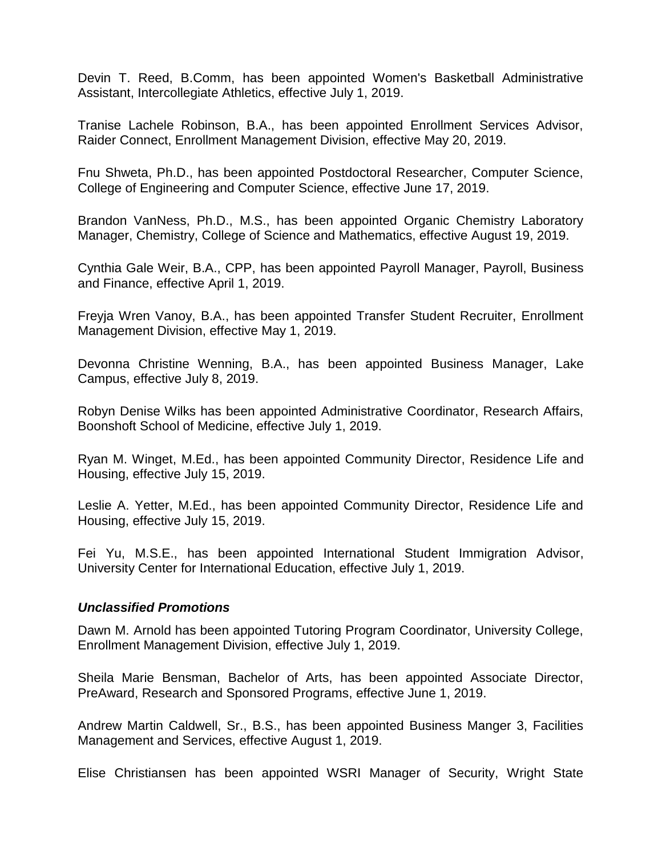Devin T. Reed, B.Comm, has been appointed Women's Basketball Administrative Assistant, Intercollegiate Athletics, effective July 1, 2019.

Tranise Lachele Robinson, B.A., has been appointed Enrollment Services Advisor, Raider Connect, Enrollment Management Division, effective May 20, 2019.

Fnu Shweta, Ph.D., has been appointed Postdoctoral Researcher, Computer Science, College of Engineering and Computer Science, effective June 17, 2019.

Brandon VanNess, Ph.D., M.S., has been appointed Organic Chemistry Laboratory Manager, Chemistry, College of Science and Mathematics, effective August 19, 2019.

Cynthia Gale Weir, B.A., CPP, has been appointed Payroll Manager, Payroll, Business and Finance, effective April 1, 2019.

Freyja Wren Vanoy, B.A., has been appointed Transfer Student Recruiter, Enrollment Management Division, effective May 1, 2019.

Devonna Christine Wenning, B.A., has been appointed Business Manager, Lake Campus, effective July 8, 2019.

Robyn Denise Wilks has been appointed Administrative Coordinator, Research Affairs, Boonshoft School of Medicine, effective July 1, 2019.

Ryan M. Winget, M.Ed., has been appointed Community Director, Residence Life and Housing, effective July 15, 2019.

Leslie A. Yetter, M.Ed., has been appointed Community Director, Residence Life and Housing, effective July 15, 2019.

Fei Yu, M.S.E., has been appointed International Student Immigration Advisor, University Center for International Education, effective July 1, 2019.

### *Unclassified Promotions*

Dawn M. Arnold has been appointed Tutoring Program Coordinator, University College, Enrollment Management Division, effective July 1, 2019.

Sheila Marie Bensman, Bachelor of Arts, has been appointed Associate Director, PreAward, Research and Sponsored Programs, effective June 1, 2019.

Andrew Martin Caldwell, Sr., B.S., has been appointed Business Manger 3, Facilities Management and Services, effective August 1, 2019.

Elise Christiansen has been appointed WSRI Manager of Security, Wright State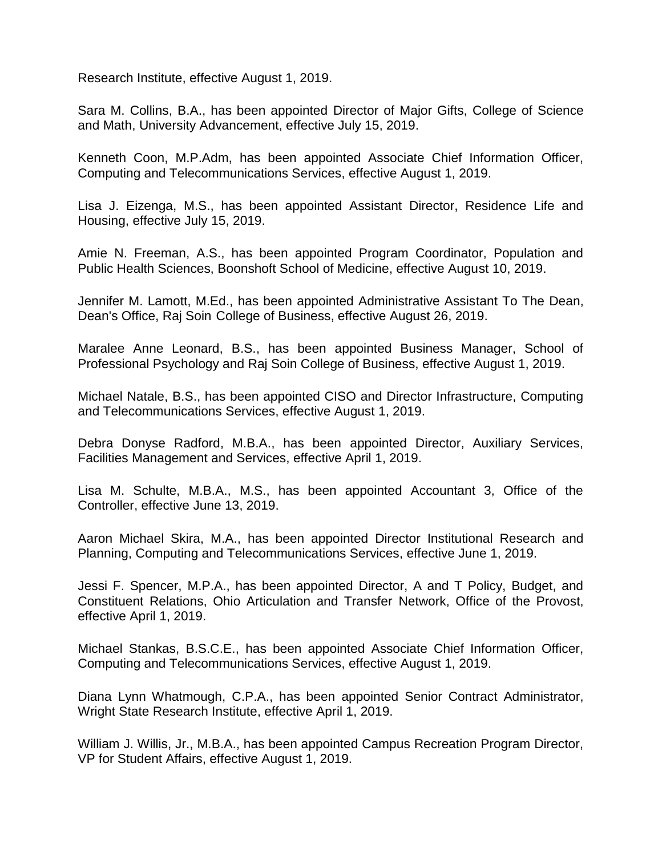Research Institute, effective August 1, 2019.

Sara M. Collins, B.A., has been appointed Director of Major Gifts, College of Science and Math, University Advancement, effective July 15, 2019.

Kenneth Coon, M.P.Adm, has been appointed Associate Chief Information Officer, Computing and Telecommunications Services, effective August 1, 2019.

Lisa J. Eizenga, M.S., has been appointed Assistant Director, Residence Life and Housing, effective July 15, 2019.

Amie N. Freeman, A.S., has been appointed Program Coordinator, Population and Public Health Sciences, Boonshoft School of Medicine, effective August 10, 2019.

Jennifer M. Lamott, M.Ed., has been appointed Administrative Assistant To The Dean, Dean's Office, Raj Soin College of Business, effective August 26, 2019.

Maralee Anne Leonard, B.S., has been appointed Business Manager, School of Professional Psychology and Raj Soin College of Business, effective August 1, 2019.

Michael Natale, B.S., has been appointed CISO and Director Infrastructure, Computing and Telecommunications Services, effective August 1, 2019.

Debra Donyse Radford, M.B.A., has been appointed Director, Auxiliary Services, Facilities Management and Services, effective April 1, 2019.

Lisa M. Schulte, M.B.A., M.S., has been appointed Accountant 3, Office of the Controller, effective June 13, 2019.

Aaron Michael Skira, M.A., has been appointed Director Institutional Research and Planning, Computing and Telecommunications Services, effective June 1, 2019.

Jessi F. Spencer, M.P.A., has been appointed Director, A and T Policy, Budget, and Constituent Relations, Ohio Articulation and Transfer Network, Office of the Provost, effective April 1, 2019.

Michael Stankas, B.S.C.E., has been appointed Associate Chief Information Officer, Computing and Telecommunications Services, effective August 1, 2019.

Diana Lynn Whatmough, C.P.A., has been appointed Senior Contract Administrator, Wright State Research Institute, effective April 1, 2019.

William J. Willis, Jr., M.B.A., has been appointed Campus Recreation Program Director, VP for Student Affairs, effective August 1, 2019.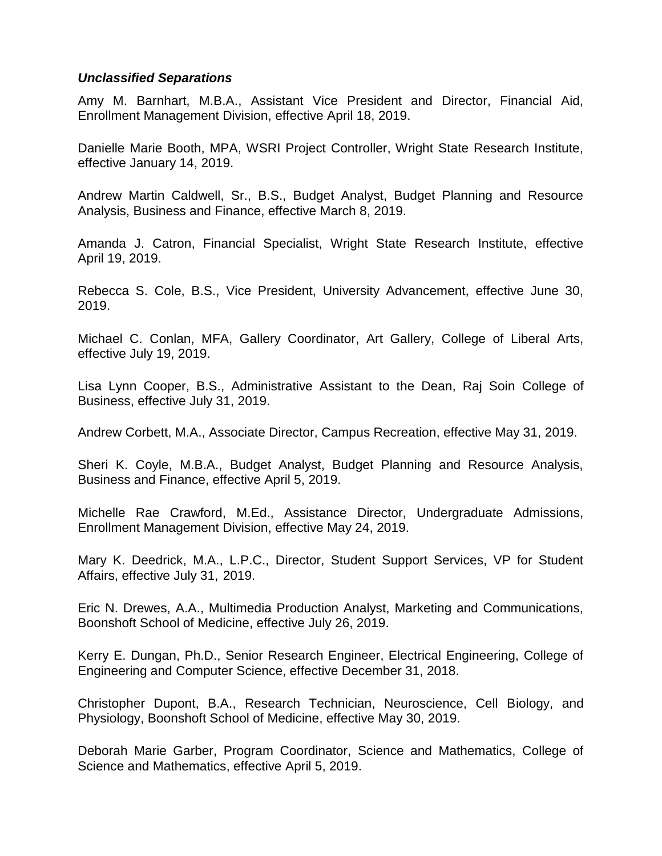### *Unclassified Separations*

Amy M. Barnhart, M.B.A., Assistant Vice President and Director, Financial Aid, Enrollment Management Division, effective April 18, 2019.

Danielle Marie Booth, MPA, WSRI Project Controller, Wright State Research Institute, effective January 14, 2019.

Andrew Martin Caldwell, Sr., B.S., Budget Analyst, Budget Planning and Resource Analysis, Business and Finance, effective March 8, 2019.

Amanda J. Catron, Financial Specialist, Wright State Research Institute, effective April 19, 2019.

Rebecca S. Cole, B.S., Vice President, University Advancement, effective June 30, 2019.

Michael C. Conlan, MFA, Gallery Coordinator, Art Gallery, College of Liberal Arts, effective July 19, 2019.

Lisa Lynn Cooper, B.S., Administrative Assistant to the Dean, Raj Soin College of Business, effective July 31, 2019.

Andrew Corbett, M.A., Associate Director, Campus Recreation, effective May 31, 2019.

Sheri K. Coyle, M.B.A., Budget Analyst, Budget Planning and Resource Analysis, Business and Finance, effective April 5, 2019.

Michelle Rae Crawford, M.Ed., Assistance Director, Undergraduate Admissions, Enrollment Management Division, effective May 24, 2019.

Mary K. Deedrick, M.A., L.P.C., Director, Student Support Services, VP for Student Affairs, effective July 31, 2019.

Eric N. Drewes, A.A., Multimedia Production Analyst, Marketing and Communications, Boonshoft School of Medicine, effective July 26, 2019.

Kerry E. Dungan, Ph.D., Senior Research Engineer, Electrical Engineering, College of Engineering and Computer Science, effective December 31, 2018.

Christopher Dupont, B.A., Research Technician, Neuroscience, Cell Biology, and Physiology, Boonshoft School of Medicine, effective May 30, 2019.

Deborah Marie Garber, Program Coordinator, Science and Mathematics, College of Science and Mathematics, effective April 5, 2019.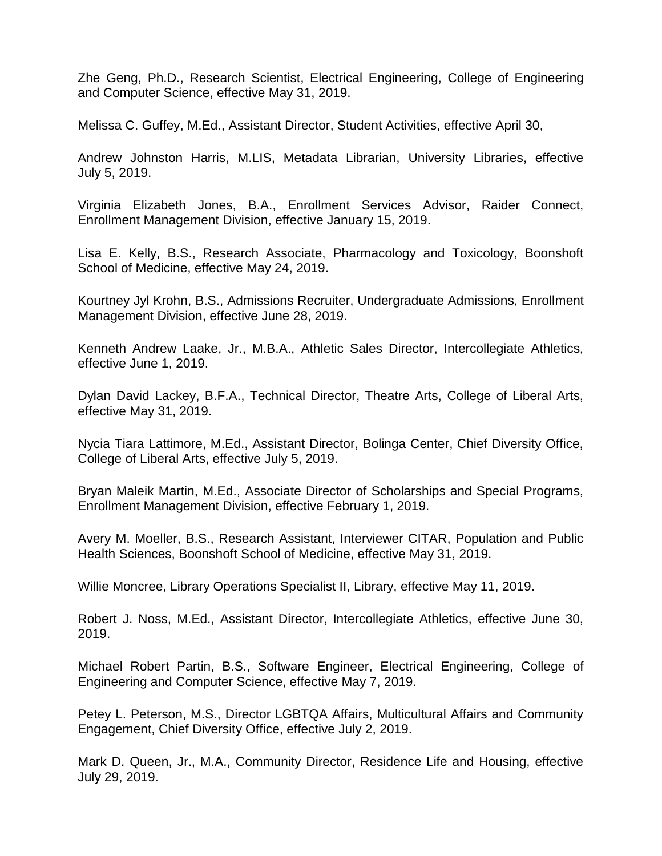Zhe Geng, Ph.D., Research Scientist, Electrical Engineering, College of Engineering and Computer Science, effective May 31, 2019.

Melissa C. Guffey, M.Ed., Assistant Director, Student Activities, effective April 30,

Andrew Johnston Harris, M.LIS, Metadata Librarian, University Libraries, effective July 5, 2019.

Virginia Elizabeth Jones, B.A., Enrollment Services Advisor, Raider Connect, Enrollment Management Division, effective January 15, 2019.

Lisa E. Kelly, B.S., Research Associate, Pharmacology and Toxicology, Boonshoft School of Medicine, effective May 24, 2019.

Kourtney Jyl Krohn, B.S., Admissions Recruiter, Undergraduate Admissions, Enrollment Management Division, effective June 28, 2019.

Kenneth Andrew Laake, Jr., M.B.A., Athletic Sales Director, Intercollegiate Athletics, effective June 1, 2019.

Dylan David Lackey, B.F.A., Technical Director, Theatre Arts, College of Liberal Arts, effective May 31, 2019.

Nycia Tiara Lattimore, M.Ed., Assistant Director, Bolinga Center, Chief Diversity Office, College of Liberal Arts, effective July 5, 2019.

Bryan Maleik Martin, M.Ed., Associate Director of Scholarships and Special Programs, Enrollment Management Division, effective February 1, 2019.

Avery M. Moeller, B.S., Research Assistant, Interviewer CITAR, Population and Public Health Sciences, Boonshoft School of Medicine, effective May 31, 2019.

Willie Moncree, Library Operations Specialist II, Library, effective May 11, 2019.

Robert J. Noss, M.Ed., Assistant Director, Intercollegiate Athletics, effective June 30, 2019.

Michael Robert Partin, B.S., Software Engineer, Electrical Engineering, College of Engineering and Computer Science, effective May 7, 2019.

Petey L. Peterson, M.S., Director LGBTQA Affairs, Multicultural Affairs and Community Engagement, Chief Diversity Office, effective July 2, 2019.

Mark D. Queen, Jr., M.A., Community Director, Residence Life and Housing, effective July 29, 2019.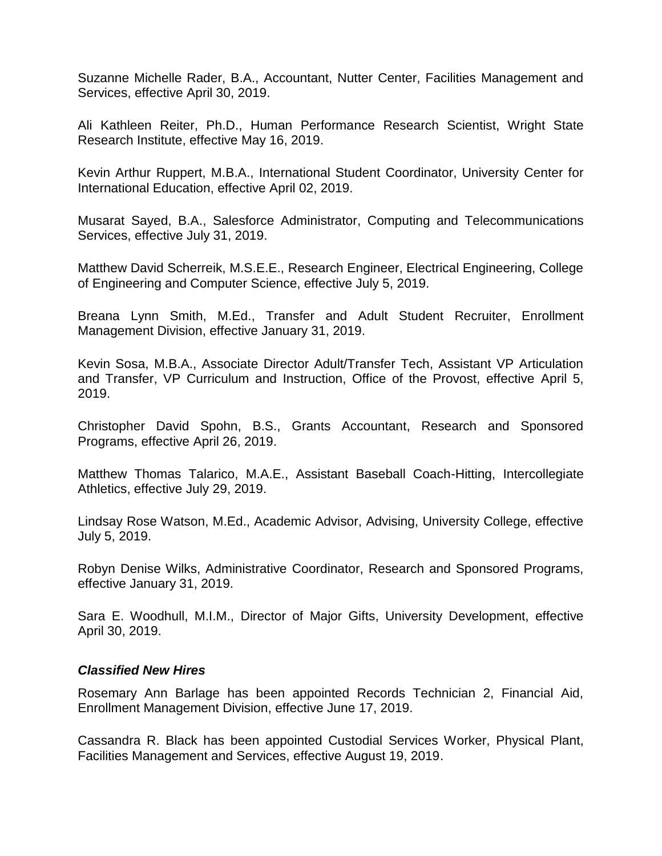Suzanne Michelle Rader, B.A., Accountant, Nutter Center, Facilities Management and Services, effective April 30, 2019.

Ali Kathleen Reiter, Ph.D., Human Performance Research Scientist, Wright State Research Institute, effective May 16, 2019.

Kevin Arthur Ruppert, M.B.A., International Student Coordinator, University Center for International Education, effective April 02, 2019.

Musarat Sayed, B.A., Salesforce Administrator, Computing and Telecommunications Services, effective July 31, 2019.

Matthew David Scherreik, M.S.E.E., Research Engineer, Electrical Engineering, College of Engineering and Computer Science, effective July 5, 2019.

Breana Lynn Smith, M.Ed., Transfer and Adult Student Recruiter, Enrollment Management Division, effective January 31, 2019.

Kevin Sosa, M.B.A., Associate Director Adult/Transfer Tech, Assistant VP Articulation and Transfer, VP Curriculum and Instruction, Office of the Provost, effective April 5, 2019.

Christopher David Spohn, B.S., Grants Accountant, Research and Sponsored Programs, effective April 26, 2019.

Matthew Thomas Talarico, M.A.E., Assistant Baseball Coach-Hitting, Intercollegiate Athletics, effective July 29, 2019.

Lindsay Rose Watson, M.Ed., Academic Advisor, Advising, University College, effective July 5, 2019.

Robyn Denise Wilks, Administrative Coordinator, Research and Sponsored Programs, effective January 31, 2019.

Sara E. Woodhull, M.I.M., Director of Major Gifts, University Development, effective April 30, 2019.

#### *Classified New Hires*

Rosemary Ann Barlage has been appointed Records Technician 2, Financial Aid, Enrollment Management Division, effective June 17, 2019.

Cassandra R. Black has been appointed Custodial Services Worker, Physical Plant, Facilities Management and Services, effective August 19, 2019.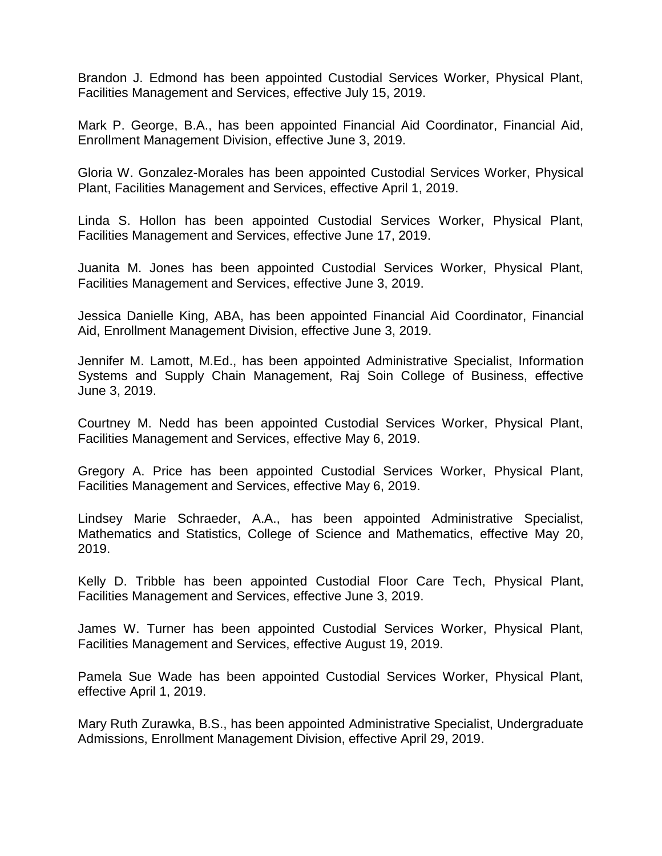Brandon J. Edmond has been appointed Custodial Services Worker, Physical Plant, Facilities Management and Services, effective July 15, 2019.

Mark P. George, B.A., has been appointed Financial Aid Coordinator, Financial Aid, Enrollment Management Division, effective June 3, 2019.

Gloria W. Gonzalez-Morales has been appointed Custodial Services Worker, Physical Plant, Facilities Management and Services, effective April 1, 2019.

Linda S. Hollon has been appointed Custodial Services Worker, Physical Plant, Facilities Management and Services, effective June 17, 2019.

Juanita M. Jones has been appointed Custodial Services Worker, Physical Plant, Facilities Management and Services, effective June 3, 2019.

Jessica Danielle King, ABA, has been appointed Financial Aid Coordinator, Financial Aid, Enrollment Management Division, effective June 3, 2019.

Jennifer M. Lamott, M.Ed., has been appointed Administrative Specialist, Information Systems and Supply Chain Management, Raj Soin College of Business, effective June 3, 2019.

Courtney M. Nedd has been appointed Custodial Services Worker, Physical Plant, Facilities Management and Services, effective May 6, 2019.

Gregory A. Price has been appointed Custodial Services Worker, Physical Plant, Facilities Management and Services, effective May 6, 2019.

Lindsey Marie Schraeder, A.A., has been appointed Administrative Specialist, Mathematics and Statistics, College of Science and Mathematics, effective May 20, 2019.

Kelly D. Tribble has been appointed Custodial Floor Care Tech, Physical Plant, Facilities Management and Services, effective June 3, 2019.

James W. Turner has been appointed Custodial Services Worker, Physical Plant, Facilities Management and Services, effective August 19, 2019.

Pamela Sue Wade has been appointed Custodial Services Worker, Physical Plant, effective April 1, 2019.

Mary Ruth Zurawka, B.S., has been appointed Administrative Specialist, Undergraduate Admissions, Enrollment Management Division, effective April 29, 2019.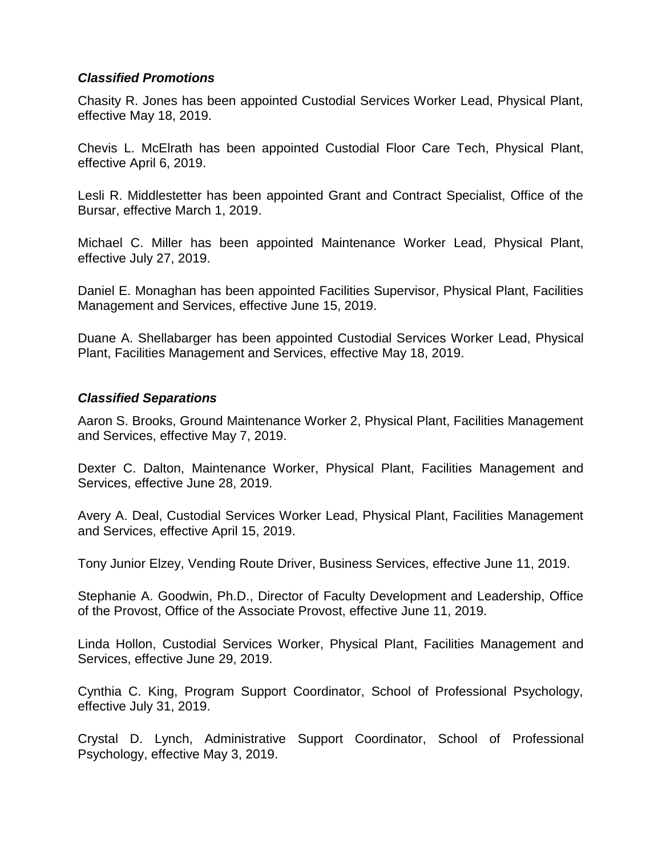### *Classified Promotions*

Chasity R. Jones has been appointed Custodial Services Worker Lead, Physical Plant, effective May 18, 2019.

Chevis L. McElrath has been appointed Custodial Floor Care Tech, Physical Plant, effective April 6, 2019.

Lesli R. Middlestetter has been appointed Grant and Contract Specialist, Office of the Bursar, effective March 1, 2019.

Michael C. Miller has been appointed Maintenance Worker Lead, Physical Plant, effective July 27, 2019.

Daniel E. Monaghan has been appointed Facilities Supervisor, Physical Plant, Facilities Management and Services, effective June 15, 2019.

Duane A. Shellabarger has been appointed Custodial Services Worker Lead, Physical Plant, Facilities Management and Services, effective May 18, 2019.

### *Classified Separations*

Aaron S. Brooks, Ground Maintenance Worker 2, Physical Plant, Facilities Management and Services, effective May 7, 2019.

Dexter C. Dalton, Maintenance Worker, Physical Plant, Facilities Management and Services, effective June 28, 2019.

Avery A. Deal, Custodial Services Worker Lead, Physical Plant, Facilities Management and Services, effective April 15, 2019.

Tony Junior Elzey, Vending Route Driver, Business Services, effective June 11, 2019.

Stephanie A. Goodwin, Ph.D., Director of Faculty Development and Leadership, Office of the Provost, Office of the Associate Provost, effective June 11, 2019.

Linda Hollon, Custodial Services Worker, Physical Plant, Facilities Management and Services, effective June 29, 2019.

Cynthia C. King, Program Support Coordinator, School of Professional Psychology, effective July 31, 2019.

Crystal D. Lynch, Administrative Support Coordinator, School of Professional Psychology, effective May 3, 2019.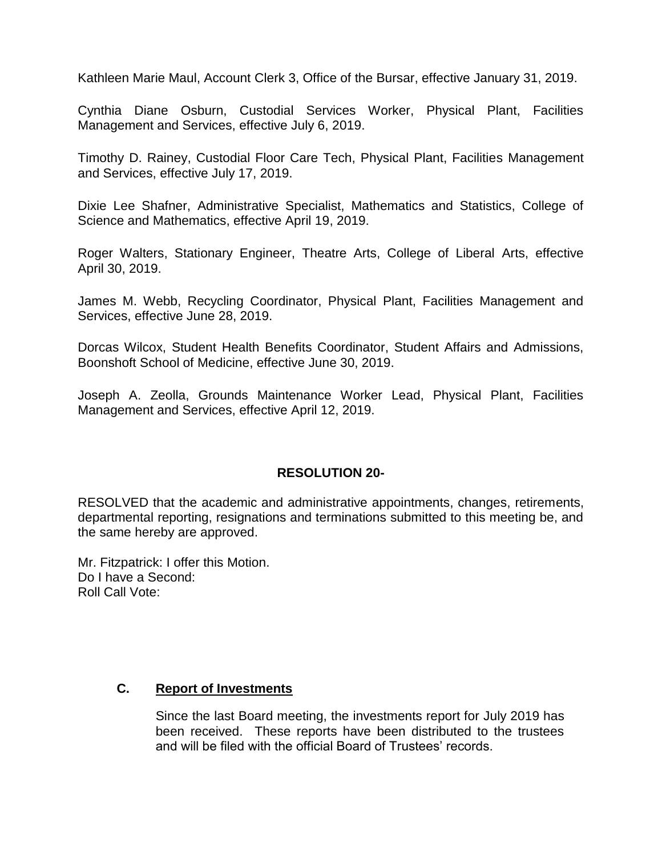Kathleen Marie Maul, Account Clerk 3, Office of the Bursar, effective January 31, 2019.

Cynthia Diane Osburn, Custodial Services Worker, Physical Plant, Facilities Management and Services, effective July 6, 2019.

Timothy D. Rainey, Custodial Floor Care Tech, Physical Plant, Facilities Management and Services, effective July 17, 2019.

Dixie Lee Shafner, Administrative Specialist, Mathematics and Statistics, College of Science and Mathematics, effective April 19, 2019.

Roger Walters, Stationary Engineer, Theatre Arts, College of Liberal Arts, effective April 30, 2019.

James M. Webb, Recycling Coordinator, Physical Plant, Facilities Management and Services, effective June 28, 2019.

Dorcas Wilcox, Student Health Benefits Coordinator, Student Affairs and Admissions, Boonshoft School of Medicine, effective June 30, 2019.

Joseph A. Zeolla, Grounds Maintenance Worker Lead, Physical Plant, Facilities Management and Services, effective April 12, 2019.

### **RESOLUTION 20-**

RESOLVED that the academic and administrative appointments, changes, retirements, departmental reporting, resignations and terminations submitted to this meeting be, and the same hereby are approved.

Mr. Fitzpatrick: I offer this Motion. Do I have a Second: Roll Call Vote:

### **C. Report of Investments**

Since the last Board meeting, the investments report for July 2019 has been received. These reports have been distributed to the trustees and will be filed with the official Board of Trustees' records.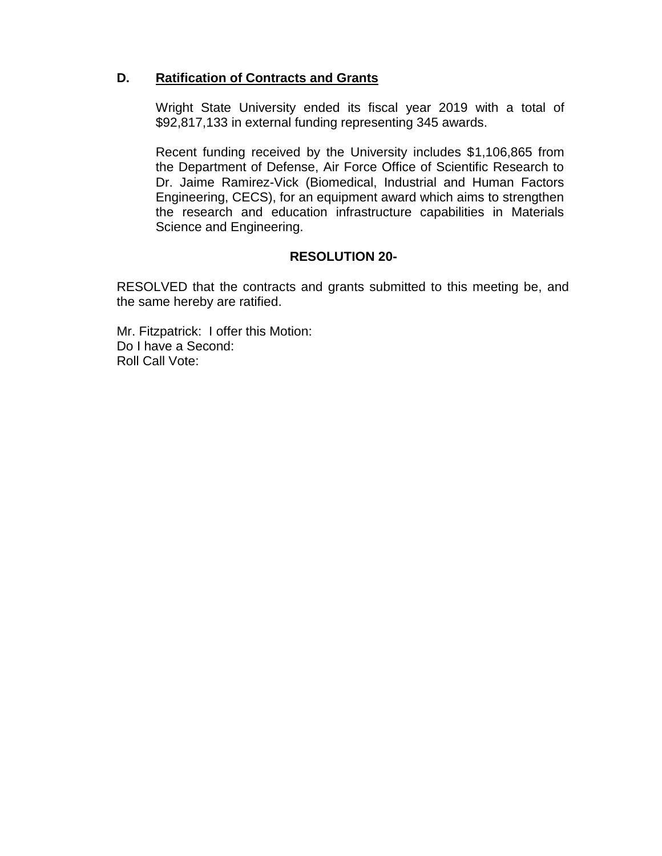### **D. Ratification of Contracts and Grants**

Wright State University ended its fiscal year 2019 with a total of \$92,817,133 in external funding representing 345 awards.

Recent funding received by the University includes \$1,106,865 from the Department of Defense, Air Force Office of Scientific Research to Dr. Jaime Ramirez-Vick (Biomedical, Industrial and Human Factors Engineering, CECS), for an equipment award which aims to strengthen the research and education infrastructure capabilities in Materials Science and Engineering.

## **RESOLUTION 20-**

RESOLVED that the contracts and grants submitted to this meeting be, and the same hereby are ratified.

Mr. Fitzpatrick: I offer this Motion: Do I have a Second: Roll Call Vote: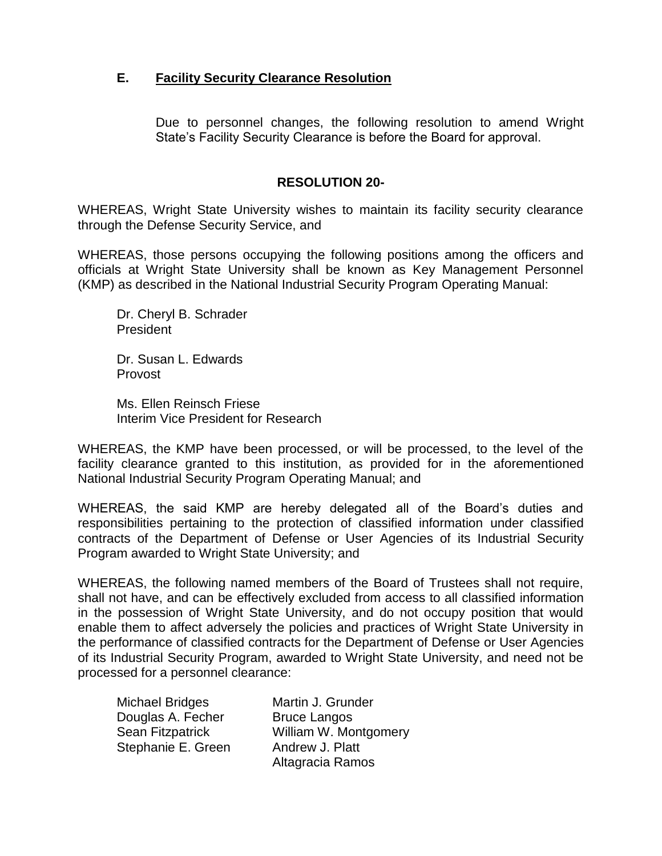## **E. Facility Security Clearance Resolution**

Due to personnel changes, the following resolution to amend Wright State's Facility Security Clearance is before the Board for approval.

#### **RESOLUTION 20-**

WHEREAS, Wright State University wishes to maintain its facility security clearance through the Defense Security Service, and

WHEREAS, those persons occupying the following positions among the officers and officials at Wright State University shall be known as Key Management Personnel (KMP) as described in the National Industrial Security Program Operating Manual:

Dr. Cheryl B. Schrader President

Dr. Susan L. Edwards Provost

Ms. Ellen Reinsch Friese Interim Vice President for Research

WHEREAS, the KMP have been processed, or will be processed, to the level of the facility clearance granted to this institution, as provided for in the aforementioned National Industrial Security Program Operating Manual; and

WHEREAS, the said KMP are hereby delegated all of the Board's duties and responsibilities pertaining to the protection of classified information under classified contracts of the Department of Defense or User Agencies of its Industrial Security Program awarded to Wright State University; and

WHEREAS, the following named members of the Board of Trustees shall not require, shall not have, and can be effectively excluded from access to all classified information in the possession of Wright State University, and do not occupy position that would enable them to affect adversely the policies and practices of Wright State University in the performance of classified contracts for the Department of Defense or User Agencies of its Industrial Security Program, awarded to Wright State University, and need not be processed for a personnel clearance:

Michael Bridges Martin J. Grunder Douglas A. Fecher Bruce Langos Sean Fitzpatrick William W. Montgomery Stephanie E. Green Andrew J. Platt

Altagracia Ramos